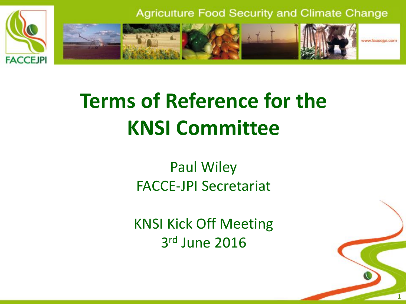

# **Terms of Reference for the KNSI Committee**

Paul Wiley FACCE-JPI Secretariat

KNSI Kick Off Meeting 3 rd June 2016

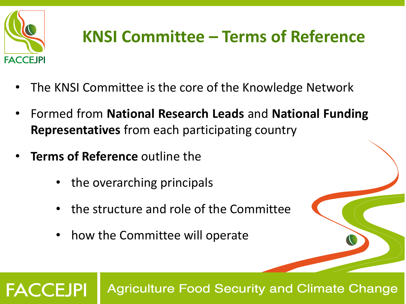

# **KNSI Committee – Terms of Reference**

- The KNSI Committee is the core of the Knowledge Network
- Formed from **National Research Leads** and **National Funding Representatives** from each participating country
- **Terms of Reference** outline the
	- the overarching principals
	- the structure and role of the Committee
	- how the Committee will operate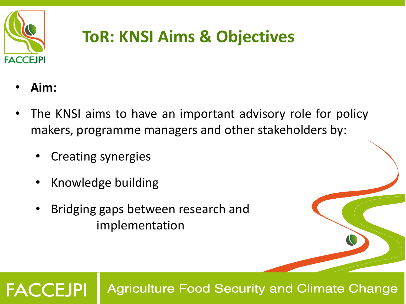

## **ToR: KNSI Aims & Objectives**

• **Aim:**

**FACCEJPI** 

- The KNSI aims to have an important advisory role for policy makers, programme managers and other stakeholders by:
	- Creating synergies
	- Knowledge building
	- Bridging gaps between research and implementation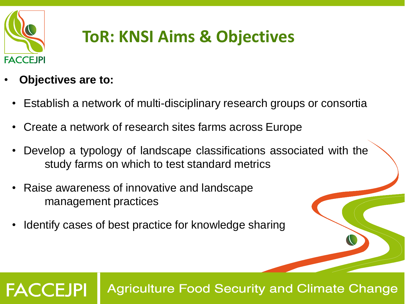

## **ToR: KNSI Aims & Objectives**

#### • **Objectives are to:**

**FACCEJPI** 

- Establish a network of multi-disciplinary research groups or consortia
- Create a network of research sites farms across Europe
- Develop a typology of landscape classifications associated with the study farms on which to test standard metrics
- Raise awareness of innovative and landscape management practices
- Identify cases of best practice for knowledge sharing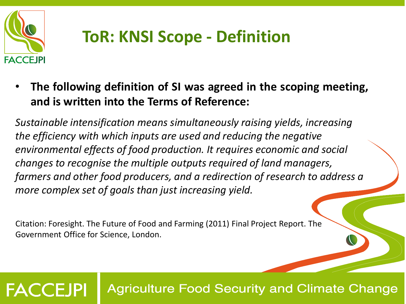

## **ToR: KNSI Scope - Definition**

• **The following definition of SI was agreed in the scoping meeting, and is written into the Terms of Reference:**

*Sustainable intensification means simultaneously raising yields, increasing the efficiency with which inputs are used and reducing the negative environmental effects of food production. It requires economic and social changes to recognise the multiple outputs required of land managers, farmers and other food producers, and a redirection of research to address a more complex set of goals than just increasing yield.*

Citation: Foresight. The Future of Food and Farming (2011) Final Project Report. The Government Office for Science, London.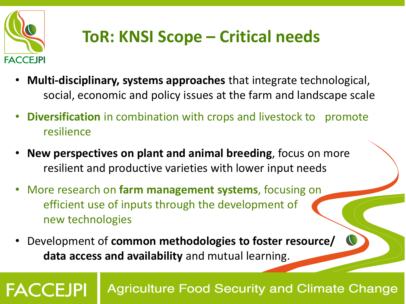

## **ToR: KNSI Scope – Critical needs**

- **Multi‐disciplinary, systems approaches** that integrate technological, social, economic and policy issues at the farm and landscape scale
- **Diversification** in combination with crops and livestock to promote resilience
- **New perspectives on plant and animal breeding**, focus on more resilient and productive varieties with lower input needs
- More research on **farm management systems**, focusing on efficient use of inputs through the development of new technologies
- Development of **common methodologies to foster resource/ data access and availability** and mutual learning.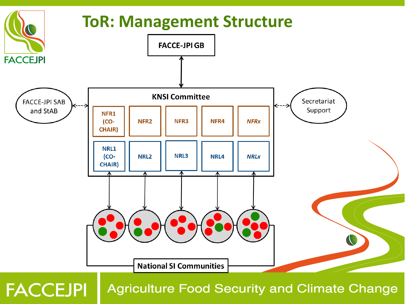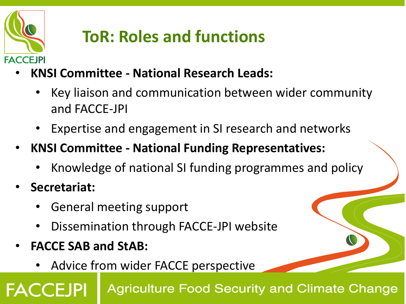

## **ToR: Roles and functions**

- **KNSI Committee - National Research Leads:**
	- Key liaison and communication between wider community and FACCE-JPI
	- Expertise and engagement in SI research and networks
- **KNSI Committee - National Funding Representatives:**
	- Knowledge of national SI funding programmes and policy
- **Secretariat:**

**FACCEJPI** 

- General meeting support
- Dissemination through FACCE-JPI website
- **FACCE SAB and StAB:** 
	- Advice from wider FACCE perspective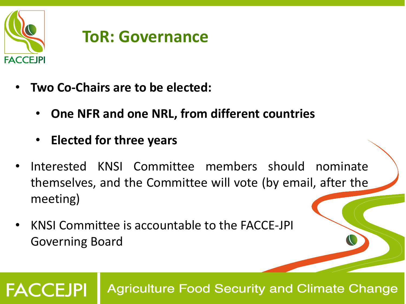

#### **ToR: Governance**

- **Two Co-Chairs are to be elected:**
	- **One NFR and one NRL, from different countries**
	- **Elected for three years**
- Interested KNSI Committee members should nominate themselves, and the Committee will vote (by email, after the meeting)
- KNSI Committee is accountable to the FACCE-JPI Governing Board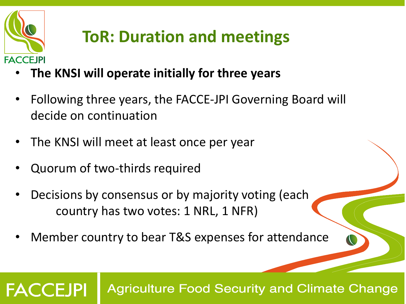

## **ToR: Duration and meetings**

- **The KNSI will operate initially for three years**
- Following three years, the FACCE-JPI Governing Board will decide on continuation
- The KNSI will meet at least once per year
- Quorum of two-thirds required
- Decisions by consensus or by majority voting (each country has two votes: 1 NRL, 1 NFR)
- Member country to bear T&S expenses for attendance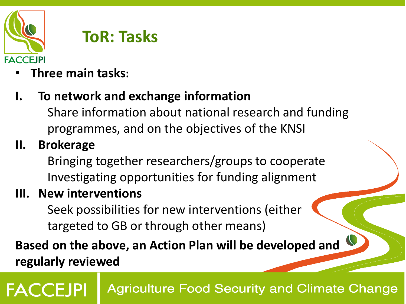

#### **ToR: Tasks**

- **Three main tasks:**
- **I. To network and exchange information**
	- Share information about national research and funding programmes, and on the objectives of the KNSI
- **II. Brokerage**

Bringing together researchers/groups to cooperate Investigating opportunities for funding alignment

**III. New interventions**

Seek possibilities for new interventions (either targeted to GB or through other means)

**Based on the above, an Action Plan will be developed and regularly reviewed**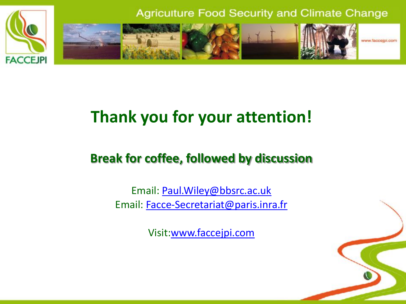

### **Thank you for your attention!**

#### **Break for coffee, followed by discussion**

Email: [Paul.Wiley@bbsrc.ac.uk](mailto:Paul.Wiley@bbsrc.ac.uk) Email: [Facce-Secretariat@paris.inra.fr](mailto:Facce-Secretariat@paris.inra.fr)

Visit[:www.faccejpi.com](http://www.faccejpi.com/)

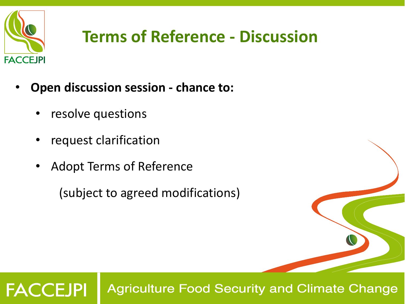

- **Open discussion session - chance to:**
	- resolve questions
	- request clarification
	- Adopt Terms of Reference

(subject to agreed modifications)

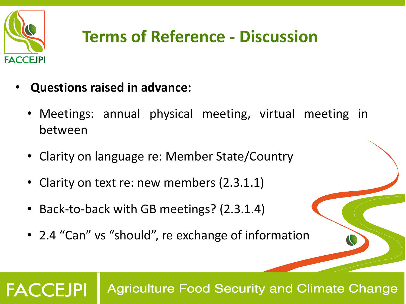

## **Terms of Reference - Discussion**

- **Questions raised in advance:**
	- Meetings: annual physical meeting, virtual meeting in between
	- Clarity on language re: Member State/Country
	- Clarity on text re: new members (2.3.1.1)
	- Back-to-back with GB meetings? (2.3.1.4)
	- 2.4 "Can" vs "should", re exchange of information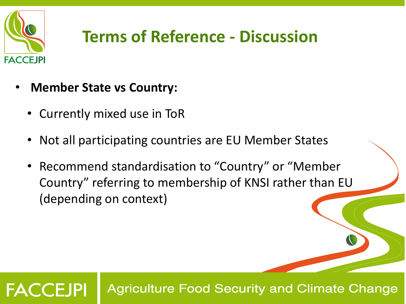

- **Member State vs Country:**
	- Currently mixed use in ToR
	- Not all participating countries are EU Member States
	- Recommend standardisation to "Country" or "Member Country" referring to membership of KNSI rather than EU (depending on context)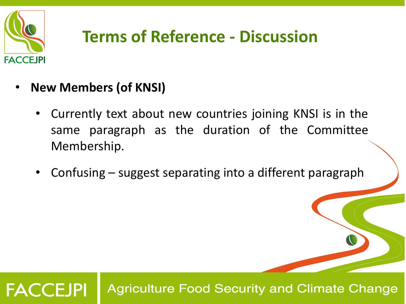

- **New Members (of KNSI)**
	- Currently text about new countries joining KNSI is in the same paragraph as the duration of the Committee Membership.
	- Confusing suggest separating into a different paragraph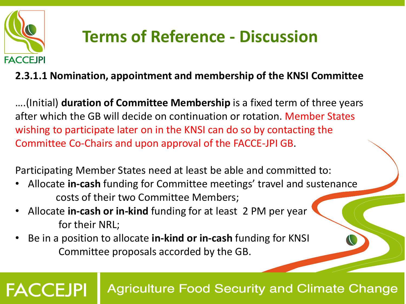

## **Terms of Reference - Discussion**

#### **2.3.1.1 Nomination, appointment and membership of the KNSI Committee**

….(Initial) **duration of Committee Membership** is a fixed term of three years after which the GB will decide on continuation or rotation. Member States wishing to participate later on in the KNSI can do so by contacting the Committee Co-Chairs and upon approval of the FACCE-JPI GB.

Participating Member States need at least be able and committed to:

- Allocate **in-cash** funding for Committee meetings' travel and sustenance costs of their two Committee Members;
- Allocate **in-cash or in-kind** funding for at least 2 PM per year for their NRL;
- Be in a position to allocate **in-kind or in-cash** funding for KNSI Committee proposals accorded by the GB.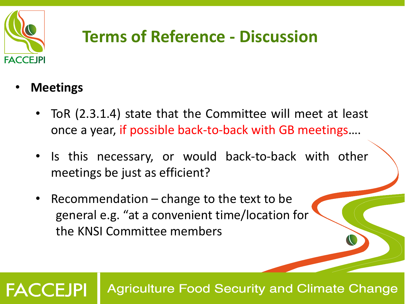

• **Meetings**

**FACCEJPI** 

- ToR (2.3.1.4) state that the Committee will meet at least once a year, if possible back-to-back with GB meetings….
- Is this necessary, or would back-to-back with other meetings be just as efficient?
- Recommendation  $-$  change to the text to be general e.g. "at a convenient time/location for the KNSI Committee members